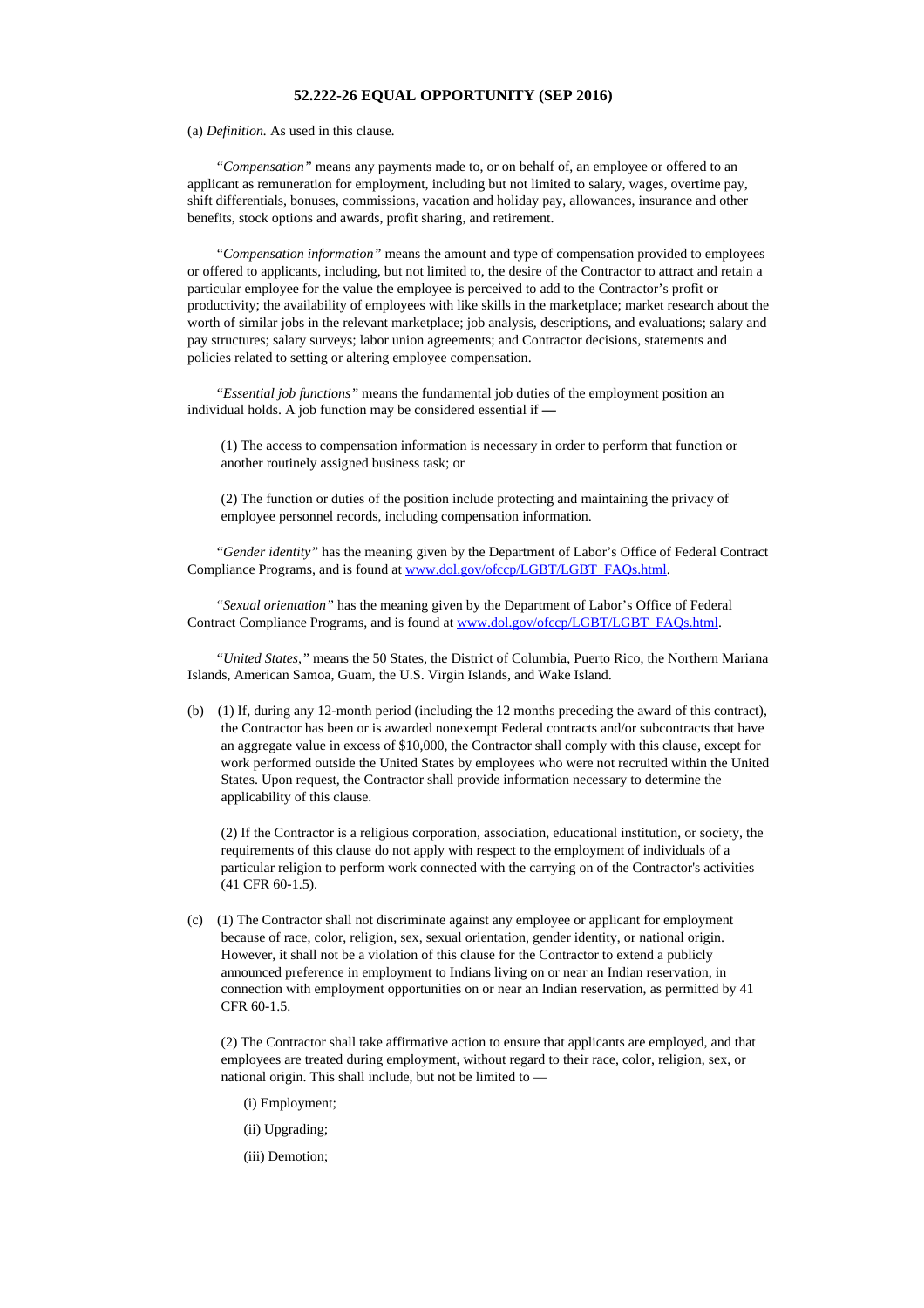## **52.222-26 EQUAL OPPORTUNITY (SEP 2016)**

(a) *Definition.* As used in this clause*.*

*"Compensation"* means any payments made to, or on behalf of, an employee or offered to an applicant as remuneration for employment, including but not limited to salary, wages, overtime pay, shift differentials, bonuses, commissions, vacation and holiday pay, allowances, insurance and other benefits, stock options and awards, profit sharing, and retirement.

*"Compensation information"* means the amount and type of compensation provided to employees or offered to applicants, including, but not limited to, the desire of the Contractor to attract and retain a particular employee for the value the employee is perceived to add to the Contractor's profit or productivity; the availability of employees with like skills in the marketplace; market research about the worth of similar jobs in the relevant marketplace; job analysis, descriptions, and evaluations; salary and pay structures; salary surveys; labor union agreements; and Contractor decisions, statements and policies related to setting or altering employee compensation.

*"Essential job functions"* means the fundamental job duties of the employment position an individual holds. A job function may be considered essential if **—**

(1) The access to compensation information is necessary in order to perform that function or another routinely assigned business task; or

(2) The function or duties of the position include protecting and maintaining the privacy of employee personnel records, including compensation information.

*"Gender identity"* has the meaning given by the Department of Labor's Office of Federal Contract Compliance Programs, and is found at [www.dol.gov/ofccp/LGBT/LGBT\\_FAQs.html](https://www.acquisition.gov/sites/default/files/current/far/html/www.dol.gov/ofccp/LGBT/LGBT_FAQs.html).

*"Sexual orientation"* has the meaning given by the Department of Labor's Office of Federal Contract Compliance Programs, and is found at [www.dol.gov/ofccp/LGBT/LGBT\\_FAQs.html.](https://www.acquisition.gov/sites/default/files/current/far/html/www.dol.gov/ofccp/LGBT/LGBT_FAQs.html)

*"United States,"* means the 50 States, the District of Columbia, Puerto Rico, the Northern Mariana Islands, American Samoa, Guam, the U.S. Virgin Islands, and Wake Island.

(b) (1) If, during any 12-month period (including the 12 months preceding the award of this contract), the Contractor has been or is awarded nonexempt Federal contracts and/or subcontracts that have an aggregate value in excess of \$10,000, the Contractor shall comply with this clause, except for work performed outside the United States by employees who were not recruited within the United States. Upon request, the Contractor shall provide information necessary to determine the applicability of this clause.

(2) If the Contractor is a religious corporation, association, educational institution, or society, the requirements of this clause do not apply with respect to the employment of individuals of a particular religion to perform work connected with the carrying on of the Contractor's activities (41 CFR 60-1.5).

(c) (1) The Contractor shall not discriminate against any employee or applicant for employment because of race, color, religion, sex, sexual orientation, gender identity, or national origin. However, it shall not be a violation of this clause for the Contractor to extend a publicly announced preference in employment to Indians living on or near an Indian reservation, in connection with employment opportunities on or near an Indian reservation, as permitted by 41 CFR 60-1.5.

(2) The Contractor shall take affirmative action to ensure that applicants are employed, and that employees are treated during employment, without regard to their race, color, religion, sex, or national origin. This shall include, but not be limited to —

(i) Employment;

(ii) Upgrading;

(iii) Demotion;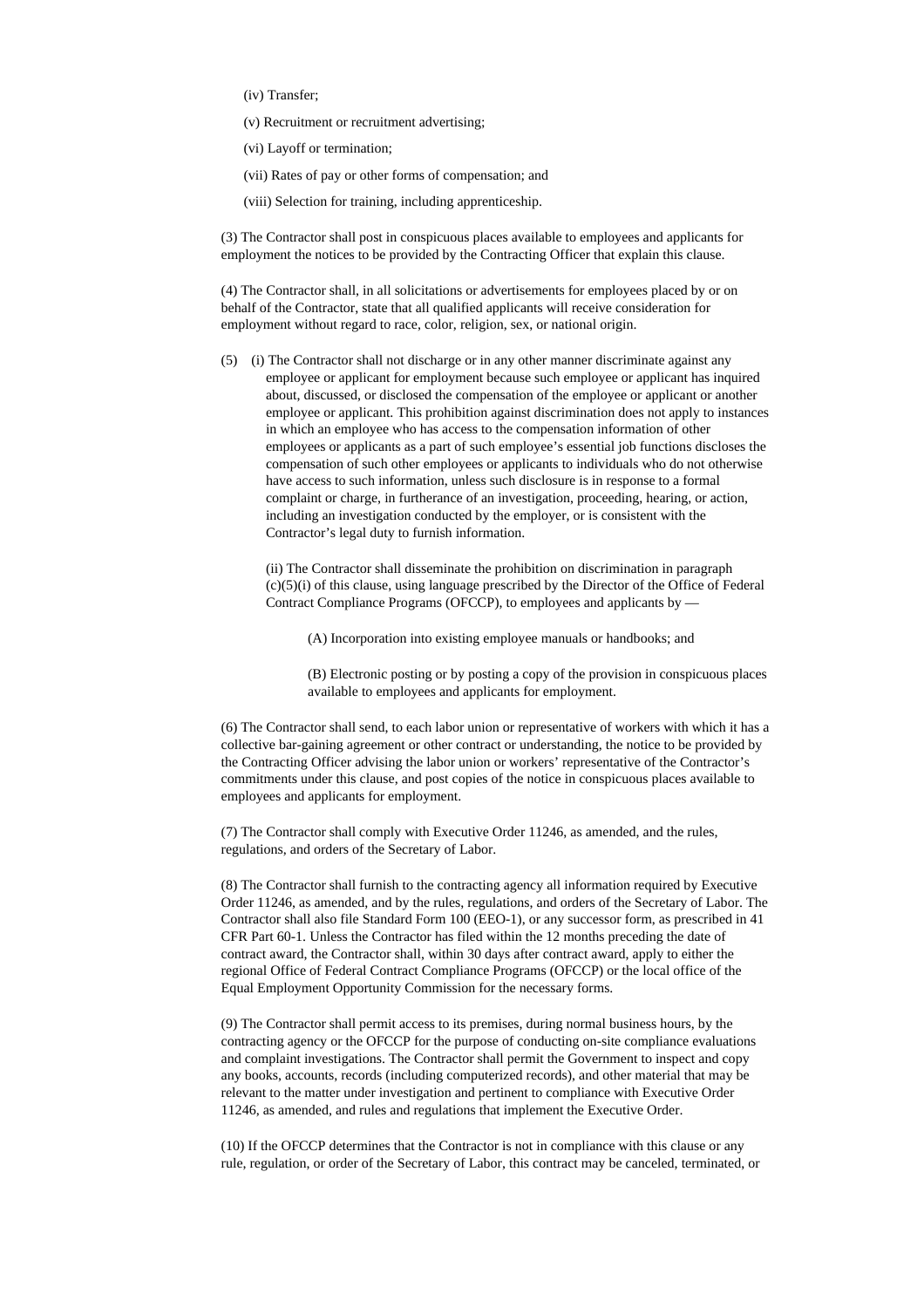(iv) Transfer;

(v) Recruitment or recruitment advertising;

(vi) Layoff or termination;

(vii) Rates of pay or other forms of compensation; and

(viii) Selection for training, including apprenticeship.

(3) The Contractor shall post in conspicuous places available to employees and applicants for employment the notices to be provided by the Contracting Officer that explain this clause.

(4) The Contractor shall, in all solicitations or advertisements for employees placed by or on behalf of the Contractor, state that all qualified applicants will receive consideration for employment without regard to race, color, religion, sex, or national origin.

(5) (i) The Contractor shall not discharge or in any other manner discriminate against any employee or applicant for employment because such employee or applicant has inquired about, discussed, or disclosed the compensation of the employee or applicant or another employee or applicant. This prohibition against discrimination does not apply to instances in which an employee who has access to the compensation information of other employees or applicants as a part of such employee's essential job functions discloses the compensation of such other employees or applicants to individuals who do not otherwise have access to such information, unless such disclosure is in response to a formal complaint or charge, in furtherance of an investigation, proceeding, hearing, or action, including an investigation conducted by the employer, or is consistent with the Contractor's legal duty to furnish information.

(ii) The Contractor shall disseminate the prohibition on discrimination in paragraph (c)(5)(i) of this clause, using language prescribed by the Director of the Office of Federal Contract Compliance Programs (OFCCP), to employees and applicants by —

(A) Incorporation into existing employee manuals or handbooks; and

(B) Electronic posting or by posting a copy of the provision in conspicuous places available to employees and applicants for employment.

(6) The Contractor shall send, to each labor union or representative of workers with which it has a collective bar-gaining agreement or other contract or understanding, the notice to be provided by the Contracting Officer advising the labor union or workers' representative of the Contractor's commitments under this clause, and post copies of the notice in conspicuous places available to employees and applicants for employment.

(7) The Contractor shall comply with Executive Order 11246, as amended, and the rules, regulations, and orders of the Secretary of Labor.

(8) The Contractor shall furnish to the contracting agency all information required by Executive Order 11246, as amended, and by the rules, regulations, and orders of the Secretary of Labor. The Contractor shall also file Standard Form 100 (EEO-1), or any successor form, as prescribed in 41 CFR Part 60-1. Unless the Contractor has filed within the 12 months preceding the date of contract award, the Contractor shall, within 30 days after contract award, apply to either the regional Office of Federal Contract Compliance Programs (OFCCP) or the local office of the Equal Employment Opportunity Commission for the necessary forms.

(9) The Contractor shall permit access to its premises, during normal business hours, by the contracting agency or the OFCCP for the purpose of conducting on-site compliance evaluations and complaint investigations. The Contractor shall permit the Government to inspect and copy any books, accounts, records (including computerized records), and other material that may be relevant to the matter under investigation and pertinent to compliance with Executive Order 11246, as amended, and rules and regulations that implement the Executive Order.

(10) If the OFCCP determines that the Contractor is not in compliance with this clause or any rule, regulation, or order of the Secretary of Labor, this contract may be canceled, terminated, or